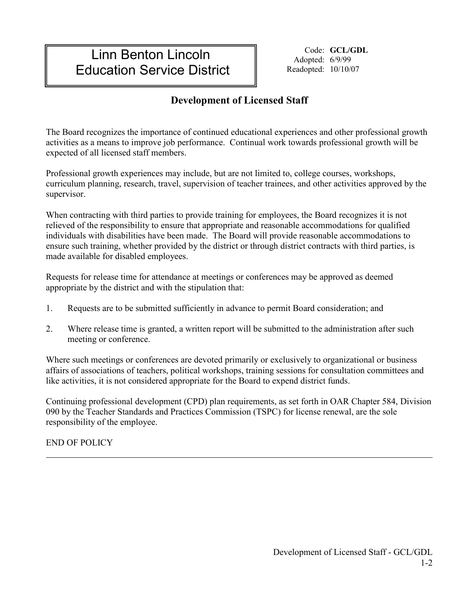## Linn Benton Lincoln Education Service District

Code: **GCL/GDL** Adopted: 6/9/99 Readopted: 10/10/07

## **Development of Licensed Staff**

The Board recognizes the importance of continued educational experiences and other professional growth activities as a means to improve job performance. Continual work towards professional growth will be expected of all licensed staff members.

Professional growth experiences may include, but are not limited to, college courses, workshops, curriculum planning, research, travel, supervision of teacher trainees, and other activities approved by the supervisor.

When contracting with third parties to provide training for employees, the Board recognizes it is not relieved of the responsibility to ensure that appropriate and reasonable accommodations for qualified individuals with disabilities have been made. The Board will provide reasonable accommodations to ensure such training, whether provided by the district or through district contracts with third parties, is made available for disabled employees.

Requests for release time for attendance at meetings or conferences may be approved as deemed appropriate by the district and with the stipulation that:

- 1. Requests are to be submitted sufficiently in advance to permit Board consideration; and
- 2. Where release time is granted, a written report will be submitted to the administration after such meeting or conference.

Where such meetings or conferences are devoted primarily or exclusively to organizational or business affairs of associations of teachers, political workshops, training sessions for consultation committees and like activities, it is not considered appropriate for the Board to expend district funds.

Continuing professional development (CPD) plan requirements, as set forth in OAR Chapter 584, Division 090 by the Teacher Standards and Practices Commission (TSPC) for license renewal, are the sole responsibility of the employee.

END OF POLICY